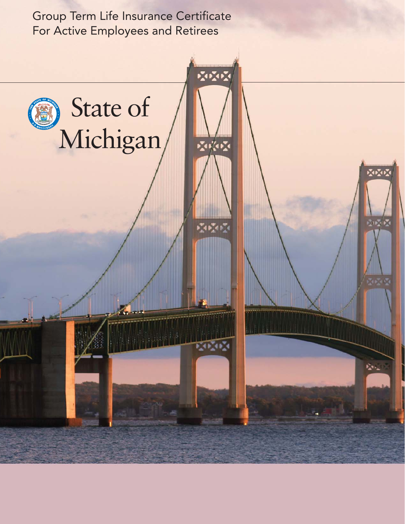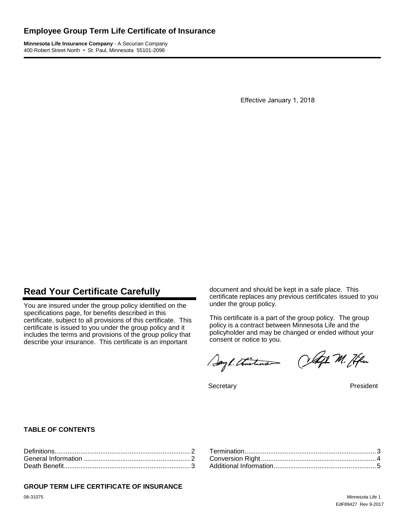# **Employee Group Term Life Certificate of Insurance**

**Minnesota Life Insurance Company** - A Securian Company 400 Robert Street North • St. Paul, Minnesota 55101-2098

Effective January 1, 2018

# **Read Your Certificate Carefully**

You are insured under the group policy identified on the specifications page, for benefits described in this certificate, subject to all provisions of this certificate. This certificate is issued to you under the group policy and it includes the terms and provisions of the group policy that describe your insurance. This certificate is an important

document and should be kept in a safe place. This certificate replaces any previous certificates issued to you under the group policy.

This certificate is a part of the group policy. The group policy is a contract between Minnesota Life and the policyholder and may be changed or ended without your consent or notice to you.

Sayl. thistine Olafh M. Hen

Secretary **President** 

### **TABLE OF CONTENTS**

#### **GROUP TERM LIFE CERTIFICATE OF INSURANCE**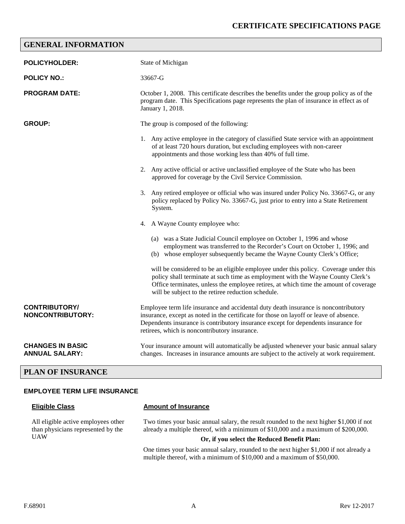# **GENERAL INFORMATION**

| <b>POLICYHOLDER:</b>                             | State of Michigan                                                                                                                                                                                                                                                                                                     |  |  |
|--------------------------------------------------|-----------------------------------------------------------------------------------------------------------------------------------------------------------------------------------------------------------------------------------------------------------------------------------------------------------------------|--|--|
| <b>POLICY NO.:</b>                               | 33667-G                                                                                                                                                                                                                                                                                                               |  |  |
| <b>PROGRAM DATE:</b>                             | October 1, 2008. This certificate describes the benefits under the group policy as of the<br>program date. This Specifications page represents the plan of insurance in effect as of<br>January 1, 2018.                                                                                                              |  |  |
| <b>GROUP:</b>                                    | The group is composed of the following:                                                                                                                                                                                                                                                                               |  |  |
|                                                  | 1. Any active employee in the category of classified State service with an appointment<br>of at least 720 hours duration, but excluding employees with non-career<br>appointments and those working less than 40% of full time.                                                                                       |  |  |
|                                                  | 2. Any active official or active unclassified employee of the State who has been<br>approved for coverage by the Civil Service Commission.                                                                                                                                                                            |  |  |
|                                                  | 3. Any retired employee or official who was insured under Policy No. 33667-G, or any<br>policy replaced by Policy No. 33667-G, just prior to entry into a State Retirement<br>System.                                                                                                                                 |  |  |
|                                                  | 4. A Wayne County employee who:                                                                                                                                                                                                                                                                                       |  |  |
|                                                  | (a) was a State Judicial Council employee on October 1, 1996 and whose<br>employment was transferred to the Recorder's Court on October 1, 1996; and<br>(b) whose employer subsequently became the Wayne County Clerk's Office;                                                                                       |  |  |
|                                                  | will be considered to be an eligible employee under this policy. Coverage under this<br>policy shall terminate at such time as employment with the Wayne County Clerk's<br>Office terminates, unless the employee retires, at which time the amount of coverage<br>will be subject to the retiree reduction schedule. |  |  |
| <b>CONTRIBUTORY/</b><br><b>NONCONTRIBUTORY:</b>  | Employee term life insurance and accidental duty death insurance is noncontributory<br>insurance, except as noted in the certificate for those on layoff or leave of absence.<br>Dependents insurance is contributory insurance except for dependents insurance for<br>retirees, which is noncontributory insurance.  |  |  |
| <b>CHANGES IN BASIC</b><br><b>ANNUAL SALARY:</b> | Your insurance amount will automatically be adjusted whenever your basic annual salary<br>changes. Increases in insurance amounts are subject to the actively at work requirement.                                                                                                                                    |  |  |

### **PLAN OF INSURANCE**

#### **EMPLOYEE TERM LIFE INSURANCE**

**Eligible Class Amount of Insurance**

All eligible active employees other than physicians represented by the UAW

Two times your basic annual salary, the result rounded to the next higher \$1,000 if not already a multiple thereof, with a minimum of \$10,000 and a maximum of \$200,000.

#### **Or, if you select the Reduced Benefit Plan:**

One times your basic annual salary, rounded to the next higher \$1,000 if not already a multiple thereof, with a minimum of \$10,000 and a maximum of \$50,000.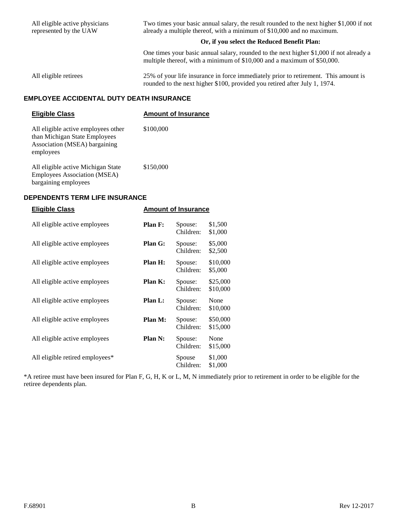All eligible active physicians represented by the UAW Two times your basic annual salary, the result rounded to the next higher \$1,000 if not already a multiple thereof, with a minimum of \$10,000 and no maximum. **Or, if you select the Reduced Benefit Plan:** One times your basic annual salary, rounded to the next higher \$1,000 if not already a multiple thereof, with a minimum of \$10,000 and a maximum of \$50,000. All eligible retirees 25% of your life insurance in force immediately prior to retirement. This amount is rounded to the next higher \$100, provided you retired after July 1, 1974.

# **EMPLOYEE ACCIDENTAL DUTY DEATH INSURANCE**

| <b>Eligible Class</b>                                                                                              | <b>Amount of Insurance</b> |
|--------------------------------------------------------------------------------------------------------------------|----------------------------|
| All eligible active employees other<br>than Michigan State Employees<br>Association (MSEA) bargaining<br>employees | \$100,000                  |
| All eligible active Michigan State<br><b>Employees Association (MSEA)</b><br>bargaining employees                  | \$150,000                  |

#### **DEPENDENTS TERM LIFE INSURANCE**

| <b>Eligible Class</b>           | <b>Amount of Insurance</b> |                      |                      |
|---------------------------------|----------------------------|----------------------|----------------------|
| All eligible active employees   | Plan F:                    | Spouse:<br>Children: | \$1,500<br>\$1,000   |
| All eligible active employees   | Plan G:                    | Spouse:<br>Children: | \$5,000<br>\$2,500   |
| All eligible active employees   | Plan H:                    | Spouse:<br>Children: | \$10,000<br>\$5,000  |
| All eligible active employees   | Plan K:                    | Spouse:<br>Children: | \$25,000<br>\$10,000 |
| All eligible active employees   | Plan L:                    | Spouse:<br>Children: | None<br>\$10,000     |
| All eligible active employees   | Plan M:                    | Spouse:<br>Children: | \$50,000<br>\$15,000 |
| All eligible active employees   | Plan N:                    | Spouse:<br>Children: | None<br>\$15,000     |
| All eligible retired employees* |                            | Spouse<br>Children:  | \$1,000<br>\$1,000   |

\*A retiree must have been insured for Plan F, G, H, K or L, M, N immediately prior to retirement in order to be eligible for the retiree dependents plan.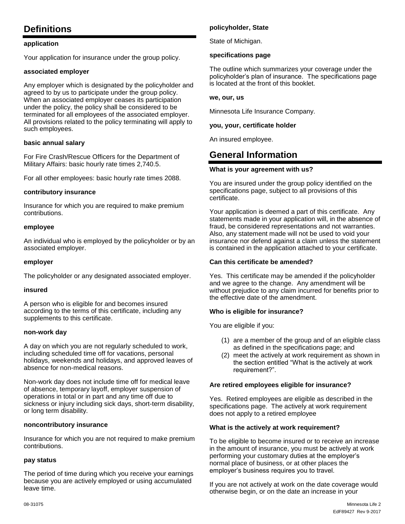# **Definitions**

### **application**

Your application for insurance under the group policy.

#### **associated employer**

Any employer which is designated by the policyholder and agreed to by us to participate under the group policy. When an associated employer ceases its participation under the policy, the policy shall be considered to be terminated for all employees of the associated employer. All provisions related to the policy terminating will apply to such employees.

#### **basic annual salary**

For Fire Crash/Rescue Officers for the Department of Military Affairs: basic hourly rate times 2,740.5.

For all other employees: basic hourly rate times 2088.

#### **contributory insurance**

Insurance for which you are required to make premium contributions.

#### **employee**

An individual who is employed by the policyholder or by an associated employer.

#### **employer**

The policyholder or any designated associated employer.

#### **insured**

A person who is eligible for and becomes insured according to the terms of this certificate, including any supplements to this certificate.

#### **non-work day**

A day on which you are not regularly scheduled to work, including scheduled time off for vacations, personal holidays, weekends and holidays, and approved leaves of absence for non-medical reasons.

Non-work day does not include time off for medical leave of absence, temporary layoff, employer suspension of operations in total or in part and any time off due to sickness or injury including sick days, short-term disability, or long term disability.

#### **noncontributory insurance**

Insurance for which you are not required to make premium contributions.

#### **pay status**

The period of time during which you receive your earnings because you are actively employed or using accumulated leave time.

#### **policyholder, State**

State of Michigan.

#### **specifications page**

The outline which summarizes your coverage under the policyholder's plan of insurance. The specifications page is located at the front of this booklet.

#### **we, our, us**

Minnesota Life Insurance Company.

#### **you, your, certificate holder**

An insured employee.

# **General Information**

#### **What is your agreement with us?**

You are insured under the group policy identified on the specifications page, subject to all provisions of this certificate.

Your application is deemed a part of this certificate. Any statements made in your application will, in the absence of fraud, be considered representations and not warranties. Also, any statement made will not be used to void your insurance nor defend against a claim unless the statement is contained in the application attached to your certificate.

#### **Can this certificate be amended?**

Yes. This certificate may be amended if the policyholder and we agree to the change. Any amendment will be without prejudice to any claim incurred for benefits prior to the effective date of the amendment.

#### **Who is eligible for insurance?**

You are eligible if you:

- (1) are a member of the group and of an eligible class as defined in the specifications page; and
- (2) meet the actively at work requirement as shown in the section entitled "What is the actively at work requirement?".

#### **Are retired employees eligible for insurance?**

Yes. Retired employees are eligible as described in the specifications page. The actively at work requirement does not apply to a retired employee

#### **What is the actively at work requirement?**

To be eligible to become insured or to receive an increase in the amount of insurance, you must be actively at work performing your customary duties at the employer's normal place of business, or at other places the employer's business requires you to travel.

If you are not actively at work on the date coverage would otherwise begin, or on the date an increase in your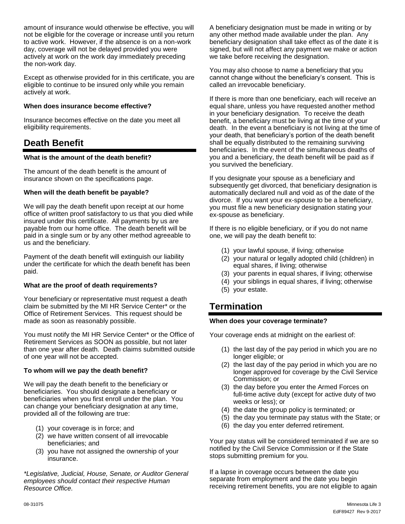amount of insurance would otherwise be effective, you will not be eligible for the coverage or increase until you return to active work. However, if the absence is on a non-work day, coverage will not be delayed provided you were actively at work on the work day immediately preceding the non-work day.

Except as otherwise provided for in this certificate, you are eligible to continue to be insured only while you remain actively at work.

### **When does insurance become effective?**

Insurance becomes effective on the date you meet all eligibility requirements.

# **Death Benefit**

#### **What is the amount of the death benefit?**

The amount of the death benefit is the amount of insurance shown on the specifications page.

### **When will the death benefit be payable?**

We will pay the death benefit upon receipt at our home office of written proof satisfactory to us that you died while insured under this certificate. All payments by us are payable from our home office. The death benefit will be paid in a single sum or by any other method agreeable to us and the beneficiary.

Payment of the death benefit will extinguish our liability under the certificate for which the death benefit has been paid.

#### **What are the proof of death requirements?**

Your beneficiary or representative must request a death claim be submitted by the MI HR Service Center\* or the Office of Retirement Services. This request should be made as soon as reasonably possible.

You must notify the MI HR Service Center\* or the Office of Retirement Services as SOON as possible, but not later than one year after death. Death claims submitted outside of one year will not be accepted.

### **To whom will we pay the death benefit?**

We will pay the death benefit to the beneficiary or beneficiaries. You should designate a beneficiary or beneficiaries when you first enroll under the plan. You can change your beneficiary designation at any time, provided all of the following are true:

- (1) your coverage is in force; and
- (2) we have written consent of all irrevocable beneficiaries; and
- (3) you have not assigned the ownership of your insurance.

*\*Legislative, Judicial, House, Senate, or Auditor General employees should contact their respective Human Resource Office.* 

A beneficiary designation must be made in writing or by any other method made available under the plan. Any beneficiary designation shall take effect as of the date it is signed, but will not affect any payment we make or action we take before receiving the designation.

You may also choose to name a beneficiary that you cannot change without the beneficiary's consent. This is called an irrevocable beneficiary.

If there is more than one beneficiary, each will receive an equal share, unless you have requested another method in your beneficiary designation. To receive the death benefit, a beneficiary must be living at the time of your death. In the event a beneficiary is not living at the time of your death, that beneficiary's portion of the death benefit shall be equally distributed to the remaining surviving beneficiaries. In the event of the simultaneous deaths of you and a beneficiary, the death benefit will be paid as if you survived the beneficiary.

If you designate your spouse as a beneficiary and subsequently get divorced, that beneficiary designation is automatically declared null and void as of the date of the divorce. If you want your ex-spouse to be a beneficiary, you must file a new beneficiary designation stating your ex-spouse as beneficiary.

If there is no eligible beneficiary, or if you do not name one, we will pay the death benefit to:

- (1) your lawful spouse, if living; otherwise
- (2) your natural or legally adopted child (children) in equal shares, if living; otherwise
- (3) your parents in equal shares, if living; otherwise
- (4) your siblings in equal shares, if living; otherwise
- (5) your estate.

# **Termination**

### **When does your coverage terminate?**

Your coverage ends at midnight on the earliest of:

- (1) the last day of the pay period in which you are no longer eligible; or
- (2) the last day of the pay period in which you are no longer approved for coverage by the Civil Service Commission; or
- (3) the day before you enter the Armed Forces on full-time active duty (except for active duty of two weeks or less); or
- (4) the date the group policy is terminated; or
- (5) the day you terminate pay status with the State; or
- (6) the day you enter deferred retirement.

Your pay status will be considered terminated if we are so notified by the Civil Service Commission or if the State stops submitting premium for you.

If a lapse in coverage occurs between the date you separate from employment and the date you begin receiving retirement benefits, you are not eligible to again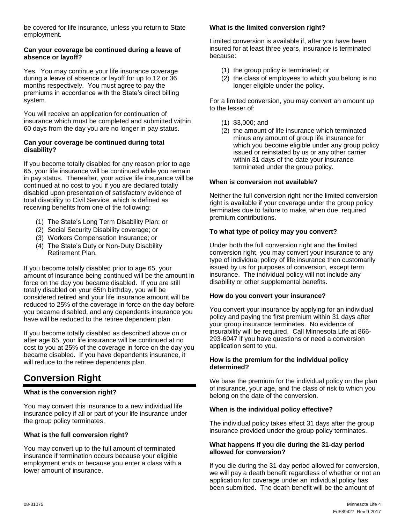be covered for life insurance, unless you return to State employment.

### **Can your coverage be continued during a leave of absence or layoff?**

Yes. You may continue your life insurance coverage during a leave of absence or layoff for up to 12 or 36 months respectively. You must agree to pay the premiums in accordance with the State's direct billing system.

You will receive an application for continuation of insurance which must be completed and submitted within 60 days from the day you are no longer in pay status.

### **Can your coverage be continued during total disability?**

If you become totally disabled for any reason prior to age 65, your life insurance will be continued while you remain in pay status. Thereafter, your active life insurance will be continued at no cost to you if you are declared totally disabled upon presentation of satisfactory evidence of total disability to Civil Service, which is defined as receiving benefits from one of the following:

- (1) The State's Long Term Disability Plan; or
- (2) Social Security Disability coverage; or
- (3) Workers Compensation Insurance; or
- (4) The State's Duty or Non-Duty Disability Retirement Plan.

If you become totally disabled prior to age 65, your amount of insurance being continued will be the amount in force on the day you became disabled. If you are still totally disabled on your 65th birthday, you will be considered retired and your life insurance amount will be reduced to 25% of the coverage in force on the day before you became disabled, and any dependents insurance you have will be reduced to the retiree dependent plan.

If you become totally disabled as described above on or after age 65, your life insurance will be continued at no cost to you at 25% of the coverage in force on the day you became disabled. If you have dependents insurance, it will reduce to the retiree dependents plan.

# **Conversion Right**

# **What is the conversion right?**

You may convert this insurance to a new individual life insurance policy if all or part of your life insurance under the group policy terminates.

# **What is the full conversion right?**

You may convert up to the full amount of terminated insurance if termination occurs because your eligible employment ends or because you enter a class with a lower amount of insurance.

### **What is the limited conversion right?**

Limited conversion is available if, after you have been insured for at least three years, insurance is terminated because:

- (1) the group policy is terminated; or
- (2) the class of employees to which you belong is no longer eligible under the policy.

For a limited conversion, you may convert an amount up to the lesser of:

- (1) \$3,000; and
- (2) the amount of life insurance which terminated minus any amount of group life insurance for which you become eligible under any group policy issued or reinstated by us or any other carrier within 31 days of the date your insurance terminated under the group policy.

### **When is conversion not available?**

Neither the full conversion right nor the limited conversion right is available if your coverage under the group policy terminates due to failure to make, when due, required premium contributions.

### **To what type of policy may you convert?**

Under both the full conversion right and the limited conversion right, you may convert your insurance to any type of individual policy of life insurance then customarily issued by us for purposes of conversion, except term insurance. The individual policy will not include any disability or other supplemental benefits.

#### **How do you convert your insurance?**

You convert your insurance by applying for an individual policy and paying the first premium within 31 days after your group insurance terminates. No evidence of insurability will be required. Call Minnesota Life at 866- 293-6047 if you have questions or need a conversion application sent to you.

#### **How is the premium for the individual policy determined?**

We base the premium for the individual policy on the plan of insurance, your age, and the class of risk to which you belong on the date of the conversion.

### **When is the individual policy effective?**

The individual policy takes effect 31 days after the group insurance provided under the group policy terminates.

#### **What happens if you die during the 31-day period allowed for conversion?**

If you die during the 31-day period allowed for conversion, we will pay a death benefit regardless of whether or not an application for coverage under an individual policy has been submitted. The death benefit will be the amount of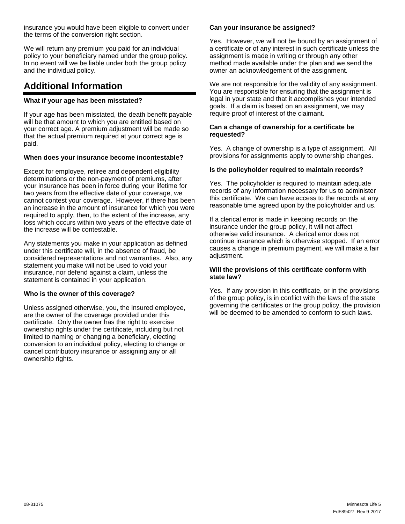insurance you would have been eligible to convert under the terms of the conversion right section.

We will return any premium you paid for an individual policy to your beneficiary named under the group policy. In no event will we be liable under both the group policy and the individual policy.

# **Additional Information**

## **What if your age has been misstated?**

If your age has been misstated, the death benefit payable will be that amount to which you are entitled based on your correct age. A premium adjustment will be made so that the actual premium required at your correct age is paid.

### **When does your insurance become incontestable?**

Except for employee, retiree and dependent eligibility determinations or the non-payment of premiums, after your insurance has been in force during your lifetime for two years from the effective date of your coverage, we cannot contest your coverage. However, if there has been an increase in the amount of insurance for which you were required to apply, then, to the extent of the increase, any loss which occurs within two years of the effective date of the increase will be contestable.

Any statements you make in your application as defined under this certificate will, in the absence of fraud, be considered representations and not warranties. Also, any statement you make will not be used to void your insurance, nor defend against a claim, unless the statement is contained in your application.

### **Who is the owner of this coverage?**

Unless assigned otherwise, you, the insured employee, are the owner of the coverage provided under this certificate. Only the owner has the right to exercise ownership rights under the certificate, including but not limited to naming or changing a beneficiary, electing conversion to an individual policy, electing to change or cancel contributory insurance or assigning any or all ownership rights.

### **Can your insurance be assigned?**

Yes. However, we will not be bound by an assignment of a certificate or of any interest in such certificate unless the assignment is made in writing or through any other method made available under the plan and we send the owner an acknowledgement of the assignment.

We are not responsible for the validity of any assignment. You are responsible for ensuring that the assignment is legal in your state and that it accomplishes your intended goals. If a claim is based on an assignment, we may require proof of interest of the claimant.

#### **Can a change of ownership for a certificate be requested?**

Yes. A change of ownership is a type of assignment. All provisions for assignments apply to ownership changes.

### **Is the policyholder required to maintain records?**

Yes. The policyholder is required to maintain adequate records of any information necessary for us to administer this certificate. We can have access to the records at any reasonable time agreed upon by the policyholder and us.

If a clerical error is made in keeping records on the insurance under the group policy, it will not affect otherwise valid insurance. A clerical error does not continue insurance which is otherwise stopped. If an error causes a change in premium payment, we will make a fair adiustment.

### **Will the provisions of this certificate conform with state law?**

Yes. If any provision in this certificate, or in the provisions of the group policy, is in conflict with the laws of the state governing the certificates or the group policy, the provision will be deemed to be amended to conform to such laws.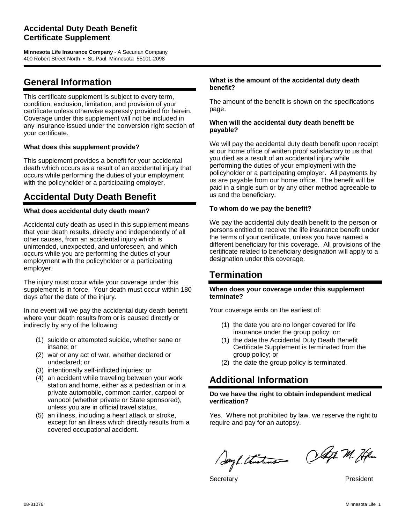# **Accidental Duty Death Benefit Certificate Supplement**

**Minnesota Life Insurance Company** - A Securian Company 400 Robert Street North • St. Paul, Minnesota 55101-2098

# **General Information**

This certificate supplement is subject to every term, condition, exclusion, limitation, and provision of your certificate unless otherwise expressly provided for herein. Coverage under this supplement will not be included in any insurance issued under the conversion right section of your certificate.

### **What does this supplement provide?**

This supplement provides a benefit for your accidental death which occurs as a result of an accidental injury that occurs while performing the duties of your employment with the policyholder or a participating employer.

# **Accidental Duty Death Benefit**

### **What does accidental duty death mean?**

Accidental duty death as used in this supplement means that your death results, directly and independently of all other causes, from an accidental injury which is unintended, unexpected, and unforeseen, and which occurs while you are performing the duties of your employment with the policyholder or a participating employer.

The injury must occur while your coverage under this supplement is in force. Your death must occur within 180 days after the date of the injury.

In no event will we pay the accidental duty death benefit where your death results from or is caused directly or indirectly by any of the following:

- (1) suicide or attempted suicide, whether sane or insane; or
- (2) war or any act of war, whether declared or undeclared; or
- (3) intentionally self-inflicted injuries; or
- (4) an accident while traveling between your work station and home, either as a pedestrian or in a private automobile, common carrier, carpool or vanpool (whether private or State sponsored), unless you are in official travel status.
- (5) an illness, including a heart attack or stroke, except for an illness which directly results from a covered occupational accident.

#### **What is the amount of the accidental duty death benefit?**

The amount of the benefit is shown on the specifications page.

#### **When will the accidental duty death benefit be payable?**

We will pay the accidental duty death benefit upon receipt at our home office of written proof satisfactory to us that you died as a result of an accidental injury while performing the duties of your employment with the policyholder or a participating employer. All payments by us are payable from our home office. The benefit will be paid in a single sum or by any other method agreeable to us and the beneficiary.

#### **To whom do we pay the benefit?**

We pay the accidental duty death benefit to the person or persons entitled to receive the life insurance benefit under the terms of your certificate, unless you have named a different beneficiary for this coverage. All provisions of the certificate related to beneficiary designation will apply to a designation under this coverage.

# **Termination**

#### **When does your coverage under this supplement terminate?**

Your coverage ends on the earliest of:

- (1) the date you are no longer covered for life insurance under the group policy; or:
- (1) the date the Accidental Duty Death Benefit Certificate Supplement is terminated from the group policy; or
- (2) the date the group policy is terminated.

# **Additional Information**

#### **Do we have the right to obtain independent medical verification?**

Yes. Where not prohibited by law, we reserve the right to require and pay for an autopsy.

Sayl. thisting Olaft M. Hen

Secretary **President**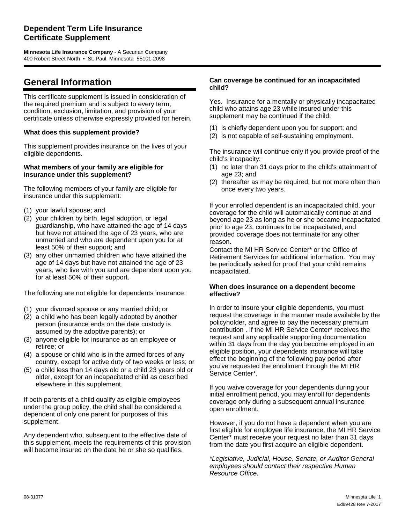# **Dependent Term Life Insurance Certificate Supplement**

**Minnesota Life Insurance Company** - A Securian Company 400 Robert Street North • St. Paul, Minnesota 55101-2098

# **General Information**

This certificate supplement is issued in consideration of the required premium and is subject to every term, condition, exclusion, limitation, and provision of your certificate unless otherwise expressly provided for herein.

#### **What does this supplement provide?**

This supplement provides insurance on the lives of your eligible dependents.

#### **What members of your family are eligible for insurance under this supplement?**

The following members of your family are eligible for insurance under this supplement:

- (1) your lawful spouse; and
- (2) your children by birth, legal adoption, or legal guardianship, who have attained the age of 14 days but have not attained the age of 23 years, who are unmarried and who are dependent upon you for at least 50% of their support; and
- (3) any other unmarried children who have attained the age of 14 days but have not attained the age of 23 years, who live with you and are dependent upon you for at least 50% of their support.

The following are not eligible for dependents insurance:

- (1) your divorced spouse or any married child; or
- (2) a child who has been legally adopted by another person (insurance ends on the date custody is assumed by the adoptive parents); or
- (3) anyone eligible for insurance as an employee or retiree; or
- (4) a spouse or child who is in the armed forces of any country, except for active duty of two weeks or less; or
- (5) a child less than 14 days old or a child 23 years old or older, except for an incapacitated child as described elsewhere in this supplement.

If both parents of a child qualify as eligible employees under the group policy, the child shall be considered a dependent of only one parent for purposes of this supplement.

Any dependent who, subsequent to the effective date of this supplement, meets the requirements of this provision will become insured on the date he or she so qualifies.

#### **Can coverage be continued for an incapacitated child?**

Yes. Insurance for a mentally or physically incapacitated child who attains age 23 while insured under this supplement may be continued if the child:

- (1) is chiefly dependent upon you for support; and
- (2) is not capable of self-sustaining employment.

The insurance will continue only if you provide proof of the child's incapacity:

- (1) no later than 31 days prior to the child's attainment of age 23; and
- (2) thereafter as may be required, but not more often than once every two years.

If your enrolled dependent is an incapacitated child, your coverage for the child will automatically continue at and beyond age 23 as long as he or she became incapacitated prior to age 23, continues to be incapacitated, and provided coverage does not terminate for any other reason.

Contact the MI HR Service Center\* or the Office of Retirement Services for additional information. You may be periodically asked for proof that your child remains incapacitated.

#### **When does insurance on a dependent become effective?**

In order to insure your eligible dependents, you must request the coverage in the manner made available by the policyholder, and agree to pay the necessary premium contribution . If the MI HR Service Center\* receives the request and any applicable supporting documentation within 31 days from the day you become employed in an eligible position, your dependents insurance will take effect the beginning of the following pay period after you've requested the enrollment through the MI HR Service Center\*.

If you waive coverage for your dependents during your initial enrollment period, you may enroll for dependents coverage only during a subsequent annual insurance open enrollment.

However, if you do not have a dependent when you are first eligible for employee life insurance, the MI HR Service Center\* must receive your request no later than 31 days from the date you first acquire an eligible dependent.

*\*Legislative, Judicial, House, Senate, or Auditor General employees should contact their respective Human Resource Office.*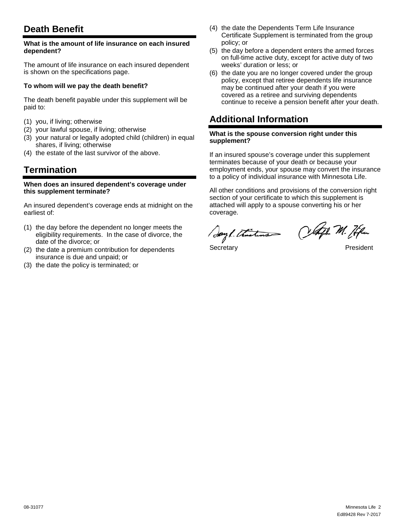# **Death Benefit**

#### **What is the amount of life insurance on each insured dependent?**

The amount of life insurance on each insured dependent is shown on the specifications page.

### **To whom will we pay the death benefit?**

The death benefit payable under this supplement will be paid to:

- (1) you, if living; otherwise
- (2) your lawful spouse, if living; otherwise
- (3) your natural or legally adopted child (children) in equal shares, if living; otherwise
- (4) the estate of the last survivor of the above.

# **Termination**

#### **When does an insured dependent's coverage under this supplement terminate?**

An insured dependent's coverage ends at midnight on the earliest of:

- (1) the day before the dependent no longer meets the eligibility requirements. In the case of divorce, the date of the divorce; or
- (2) the date a premium contribution for dependents insurance is due and unpaid; or
- (3) the date the policy is terminated; or
- (4) the date the Dependents Term Life Insurance Certificate Supplement is terminated from the group policy; or
- (5) the day before a dependent enters the armed forces on full-time active duty, except for active duty of two weeks' duration or less; or
- (6) the date you are no longer covered under the group policy, except that retiree dependents life insurance may be continued after your death if you were covered as a retiree and surviving dependents continue to receive a pension benefit after your death.

# **Additional Information**

#### **What is the spouse conversion right under this supplement?**

If an insured spouse's coverage under this supplement terminates because of your death or because your employment ends, your spouse may convert the insurance to a policy of individual insurance with Minnesota Life.

All other conditions and provisions of the conversion right section of your certificate to which this supplement is attached will apply to a spouse converting his or her coverage.

Say L. Thistine

Celaft M. Hfm

Secretary **President**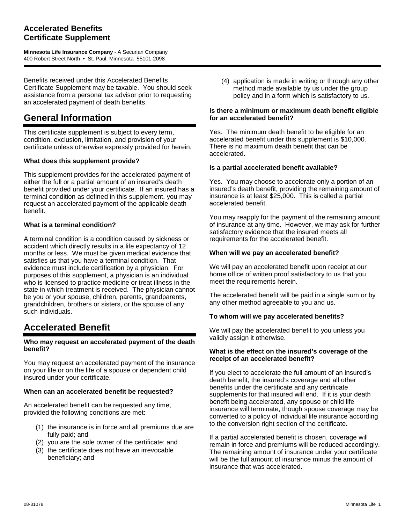# **Accelerated Benefits Certificate Supplement**

**Minnesota Life Insurance Company** - A Securian Company 400 Robert Street North • St. Paul, Minnesota 55101-2098

Benefits received under this Accelerated Benefits Certificate Supplement may be taxable. You should seek assistance from a personal tax advisor prior to requesting an accelerated payment of death benefits.

# **General Information**

This certificate supplement is subject to every term, condition, exclusion, limitation, and provision of your certificate unless otherwise expressly provided for herein.

### **What does this supplement provide?**

This supplement provides for the accelerated payment of either the full or a partial amount of an insured's death benefit provided under your certificate. If an insured has a terminal condition as defined in this supplement, you may request an accelerated payment of the applicable death benefit.

### **What is a terminal condition?**

A terminal condition is a condition caused by sickness or accident which directly results in a life expectancy of 12 months or less. We must be given medical evidence that satisfies us that you have a terminal condition. That evidence must include certification by a physician. For purposes of this supplement, a physician is an individual who is licensed to practice medicine or treat illness in the state in which treatment is received. The physician cannot be you or your spouse, children, parents, grandparents, grandchildren, brothers or sisters, or the spouse of any such individuals.

# **Accelerated Benefit**

### **Who may request an accelerated payment of the death benefit?**

You may request an accelerated payment of the insurance on your life or on the life of a spouse or dependent child insured under your certificate.

### **When can an accelerated benefit be requested?**

An accelerated benefit can be requested any time, provided the following conditions are met:

- (1) the insurance is in force and all premiums due are fully paid; and
- (2) you are the sole owner of the certificate; and
- (3) the certificate does not have an irrevocable beneficiary; and

(4) application is made in writing or through any other method made available by us under the group policy and in a form which is satisfactory to us.

#### **Is there a minimum or maximum death benefit eligible for an accelerated benefit?**

Yes. The minimum death benefit to be eligible for an accelerated benefit under this supplement is \$10,000. There is no maximum death benefit that can be accelerated.

### **Is a partial accelerated benefit available?**

Yes. You may choose to accelerate only a portion of an insured's death benefit, providing the remaining amount of insurance is at least \$25,000. This is called a partial accelerated benefit.

You may reapply for the payment of the remaining amount of insurance at any time. However, we may ask for further satisfactory evidence that the insured meets all requirements for the accelerated benefit.

### **When will we pay an accelerated benefit?**

We will pay an accelerated benefit upon receipt at our home office of written proof satisfactory to us that you meet the requirements herein.

The accelerated benefit will be paid in a single sum or by any other method agreeable to you and us.

### **To whom will we pay accelerated benefits?**

We will pay the accelerated benefit to you unless you validly assign it otherwise.

### **What is the effect on the insured's coverage of the receipt of an accelerated benefit?**

If you elect to accelerate the full amount of an insured's death benefit, the insured's coverage and all other benefits under the certificate and any certificate supplements for that insured will end. If it is your death benefit being accelerated, any spouse or child life insurance will terminate, though spouse coverage may be converted to a policy of individual life insurance according to the conversion right section of the certificate.

If a partial accelerated benefit is chosen, coverage will remain in force and premiums will be reduced accordingly. The remaining amount of insurance under your certificate will be the full amount of insurance minus the amount of insurance that was accelerated.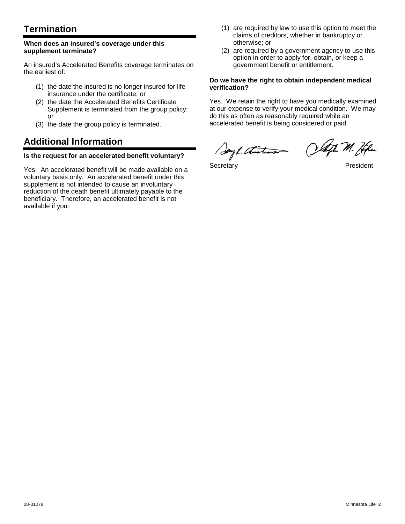# **Termination**

#### **When does an insured's coverage under this supplement terminate?**

An insured's Accelerated Benefits coverage terminates on the earliest of:

- (1) the date the insured is no longer insured for life insurance under the certificate; or
- (2) the date the Accelerated Benefits Certificate Supplement is terminated from the group policy; or
- (3) the date the group policy is terminated.

# **Additional Information**

### **Is the request for an accelerated benefit voluntary?**

Yes. An accelerated benefit will be made available on a voluntary basis only. An accelerated benefit under this supplement is not intended to cause an involuntary reduction of the death benefit ultimately payable to the beneficiary. Therefore, an accelerated benefit is not available if you:

- (1) are required by law to use this option to meet the claims of creditors, whether in bankruptcy or otherwise; or
- (2) are required by a government agency to use this option in order to apply for, obtain, or keep a government benefit or entitlement.

#### **Do we have the right to obtain independent medical verification?**

Yes. We retain the right to have you medically examined at our expense to verify your medical condition. We may do this as often as reasonably required while an accelerated benefit is being considered or paid.

Sayl. thisting Olafh. M. Hen

Secretary **President**